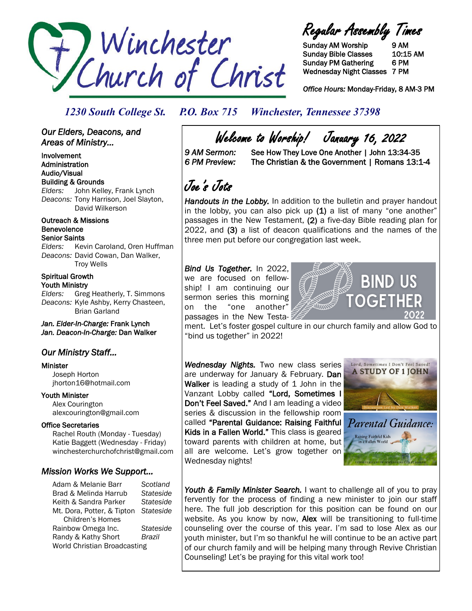

Regular Assembly Times

Sunday AM Worship 9 AM Sunday Bible Classes 10:15 AM Sunday PM Gathering 6 PM Wednesday Night Classes 7 PM

*Office Hours:* Monday-Friday, 8 AM-3 PM

### *1230 South College St. P.O. Box 715 Winchester, Tennessee 37398*

### *Our Elders, Deacons, and Areas of Ministry...*

Involvement Administration Audio/Visual Building & Grounds *Elders:* John Kelley, Frank Lynch *Deacons:* Tony Harrison, Joel Slayton, David Wilkerson

Outreach & Missions Benevolence Senior Saints

*Elders:* Kevin Caroland, Oren Huffman *Deacons:* David Cowan, Dan Walker, Troy Wells

### Spiritual Growth Youth Ministry

*Elders:* Greg Heatherly, T. Simmons *Deacons:* Kyle Ashby, Kerry Chasteen, Brian Garland

*Jan. Elder-In-Charge:* Frank Lynch *Jan. Deacon-In-Charge:* Dan Walker

## *Our Ministry Staff…*

#### Minister

 Joseph Horton jhorton16@hotmail.com

Youth Minister Alex Courington alexcourington@gmail.com

### Office Secretaries

 Rachel Routh (Monday - Tuesday) Katie Baggett (Wednesday - Friday) winchesterchurchofchrist@gmail.com

### *Mission Works We Support…*

Adam & Melanie Barr *Scotland* Brad & Melinda Harrub *Stateside* Keith & Sandra Parker *Stateside* Mt. Dora, Potter, & Tipton *Stateside* Children's Homes Rainbow Omega Inc. *Stateside* Randy & Kathy Short *Brazil* World Christian Broadcasting

Welcome to Worship! January 16, 2022<br>9 AM Sermon: See How They Love One Another | John 13:34

See How They Love One Another | John 13:34-35 *6 PM Preview:* The Christian & the Government | Romans 13:1-4

## Joe's Jots

*Handouts in the Lobby.* In addition to the bulletin and prayer handout in the lobby, you can also pick up  $(1)$  a list of many "one another" passages in the New Testament, (2) a five-day Bible reading plan for 2022, and (3) a list of deacon qualifications and the names of the three men put before our congregation last week.

*Bind Us Together.* In 2022, we are focused on fellowship! I am continuing our sermon series this morning on the "one another" passages in the New Testa-



ment. Let's foster gospel culture in our church family and allow God to "bind us together" in 2022!

*Wednesday Nights.* Two new class series are underway for January & February. Dan Walker is leading a study of 1 John in the Vanzant Lobby called "Lord, Sometimes I Don't Feel Saved." And I am leading a video series & discussion in the fellowship room called "Parental Guidance: Raising Faithful Kids in a Fallen World." This class is geared toward parents with children at home, but all are welcome. Let's grow together on Wednesday nights!



Raising Faithful Kids<br>in a Fallen World

Youth & Family Minister Search. I want to challenge all of you to pray fervently for the process of finding a new minister to join our staff here. The full job description for this position can be found on our website. As you know by now, **Alex** will be transitioning to full-time counseling over the course of this year. I'm sad to lose Alex as our youth minister, but I'm so thankful he will continue to be an active part of our church family and will be helping many through Revive Christian Counseling! Let's be praying for this vital work too!